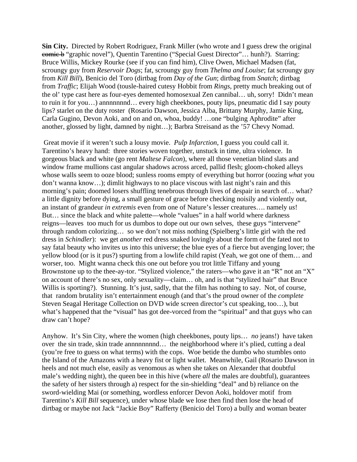**Sin City.** Directed by Robert Rodriguez, Frank Miller (who wrote and I guess drew the original comic b "graphic novel"), Quentin Tarentino ("Special Guest Director"… hunh?). Starring: Bruce Willis, Mickey Rourke (see if you can find him), Clive Owen, Michael Madsen (fat, scroungy guy from *Reservoir Dogs*; fat, scroungy guy from *Thelma and Louise*; fat scroungy guy from *Kill Bill*), Benicio del Toro (dirtbag from *Day of the Gun*; dirtbag from *Snatch*; dirtbag from *Traffic*; Elijah Wood (tousle-haired cutesy Hobbit from *Rings*, pretty much breaking out of the ol' type cast here as four-eyes demented homosexual Zen cannibal… uh, sorry! Didn't mean to ruin it for you...) annnnnnnd... every high cheekbones, pouty lips, pneumatic did I say pouty lips? starlet on the duty roster (Rosario Dawson, Jessica Alba, Brittany Murphy, Jamie King, Carla Gugino, Devon Aoki, and on and on, whoa, buddy! …one "bulging Aphrodite" after another, glossed by light, damned by night…); Barbra Streisand as the '57 Chevy Nomad.

 Great movie if it weren't such a lousy movie. *Pulp Infarction*, I guess you could call it. Tarentino's heavy hand: three stories woven together, unstuck in time, ultra violence. In gorgeous black and white (go rent *Maltese Falcon*), where all those venetian blind slats and window frame mullions cast angular shadows across arced, pallid flesh; gloom-choked alleys whose walls seem to ooze blood; sunless rooms empty of everything but horror (oozing *what* you don't wanna know…); dimlit highways to no place viscous with last night's rain and this morning's pain; doomed losers shuffling tenebrous through lives of despair in search of… what? a little dignity before dying, a small gesture of grace before checking noisily and violently out, an instant of grandeur *in extremis* even from one of Nature's lesser creatures…. namely *us*! But… since the black and white palette—whole "values" in a half world where darkness reigns—leaves too much for us dumbos to dope out our own selves, these guys "intervene" through random colorizing… so we don't not miss nothing (Spielberg's little girl with the red dress in *Schindler*): we get *another* red dress snaked lovingly about the form of the fated not to say fatal beauty who invites us into this universe; the blue eyes of a fierce but avenging lover; the yellow blood (or is it pus?) spurting from a lowlife child rapist (Yeah, we got one of them… and worser, too. Might wanna check this one out before you trot little Tiffany and young Brownstone up to the thee-ay-tor. "Stylized violence," the raters—who gave it an "R" not an "X" on account of there's no sex, only sexuality—claim… oh, and is that "stylized hair" that Bruce Willis is sporting?). Stunning. It's just, sadly, that the film has nothing to say. Not, of course, that random brutality isn't entertainment enough (and that's the proud owner of the *complete* Steven Seagal Heritage Collection on DVD wide screen director's cut speaking, too…), but what's happened that the "visual" has got dee-vorced from the "spiritual" and that guys who can draw can't hope?

Anyhow. It's Sin City, where the women (high cheekbones, pouty lips… *no* jeans!) have taken over the sin trade, skin trade annnnnnnnd… the neighborhood where it's plied, cutting a deal (you're free to guess on what terms) with the cops. Woe betide the dumbo who stumbles onto the Island of the Amazons with a heavy fist or light wallet. Meanwhile, Gail (Rosario Dawson in heels and not much else, easily as venomous as when she takes on Alexander that doubtful male's wedding night), the queen bee in this hive (where *all* the males are doubtful), guarantees the safety of her sisters through a) respect for the sin-shielding "deal" and b) reliance on the sword-wielding Mai (or something, wordless enforcer Devon Aoki, holdover motif from Tarentino's *Kill Bill* sequence), under whose blade we lose then find then lose the head of dirtbag or maybe not Jack "Jackie Boy" Rafferty (Benicio del Toro) a bully and woman beater